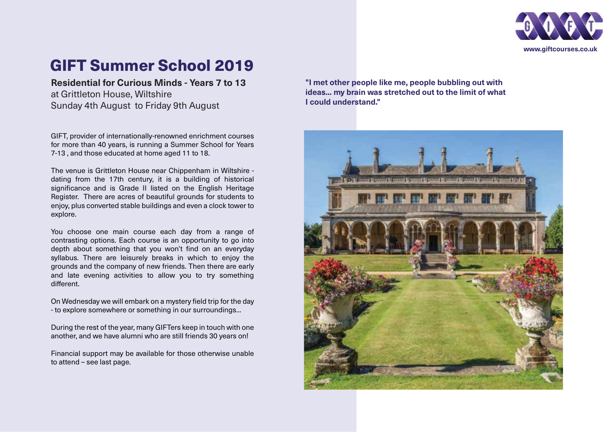

# GIFT Summer School 2019

**Residential for Curious Minds - Years 7 to 13** at Grittleton House, Wiltshire Sunday 4th August to Friday 9th August

GIFT, provider of internationally-renowned enrichment courses for more than 40 years, is running a Summer School for Years 7-13 , and those educated at home aged 11 to 18.

The venue is Grittleton House near Chippenham in Wiltshire dating from the 17th century, it is a building of historical significance and is Grade II listed on the English Heritage Register. There are acres of beautiful grounds for students to enjoy, plus converted stable buildings and even a clock tower to explore.

You choose one main course each day from a range of contrasting options. Each course is an opportunity to go into depth about something that you won't find on an everyday syllabus. There are leisurely breaks in which to enjoy the grounds and the company of new friends. Then there are early and late evening activities to allow you to try something different.

On Wednesday we will embark on a mystery field trip for the day - to explore somewhere or something in our surroundings...

During the rest of the year, many GIFTers keep in touch with one another, and we have alumni who are still friends 30 years on!

Financial support may be available for those otherwise unable to attend – see last page.

**"I met other people like me, people bubbling out with ideas... my brain was stretched out to the limit of what I could understand."**

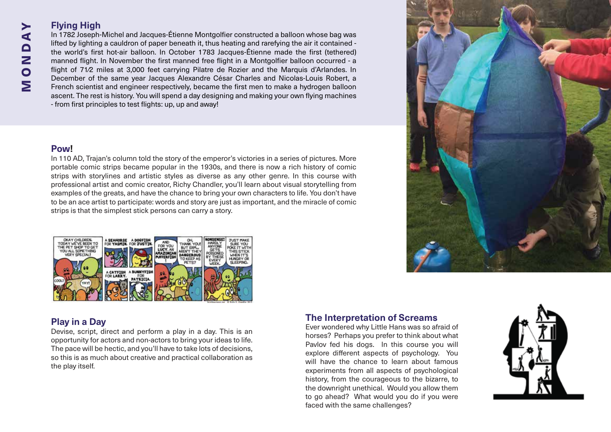## **Flying High**

In 1782 Joseph-Michel and Jacques-Étienne Montgolfier constructed a balloon whose bag was lifted by lighting a cauldron of paper beneath it, thus heating and rarefying the air it contained the world's first hot-air balloon. In October 1783 Jacques-Étienne made the first (tethered) manned flight. In November the first manned free flight in a Montgolfier balloon occurred - a flight of 71/2 miles at 3,000 feet carrying Pilatre de Rozier and the Marquis d'Arlandes. In December of the same year Jacques Alexandre César Charles and Nicolas-Louis Robert, a French scientist and engineer respectively, became the first men to make a hydrogen balloon ascent. The rest is history. You will spend a day designing and making your own flying machines - from first principles to test flights: up, up and away!

#### **Pow!**

MONDAY

MONDA

≻

In 110 AD, Trajan's column told the story of the emperor's victories in a series of pictures. More portable comic strips became popular in the 1930s, and there is now a rich history of comic strips with storylines and artistic styles as diverse as any other genre. In this course with professional artist and comic creator, Richy Chandler, you'll learn about visual storytelling from examples of the greats, and have the chance to bring your own characters to life. You don't have to be an ace artist to participate: words and story are just as important, and the miracle of comic strips is that the simplest stick persons can carry a story.



## **Play in a Day**

Devise, script, direct and perform a play in a day. This is an opportunity for actors and non-actors to bring your ideas to life. The pace will be hectic, and you'll have to take lots of decisions, so this is as much about creative and practical collaboration as the play itself.

## **The Interpretation of Screams**

Ever wondered why Little Hans was so afraid of horses? Perhaps you prefer to think about what Pavlov fed his dogs. In this course you will explore different aspects of psychology. You will have the chance to learn about famous experiments from all aspects of psychological history, from the courageous to the bizarre, to the downright unethical. Would you allow them to go ahead? What would you do if you were faced with the same challenges?



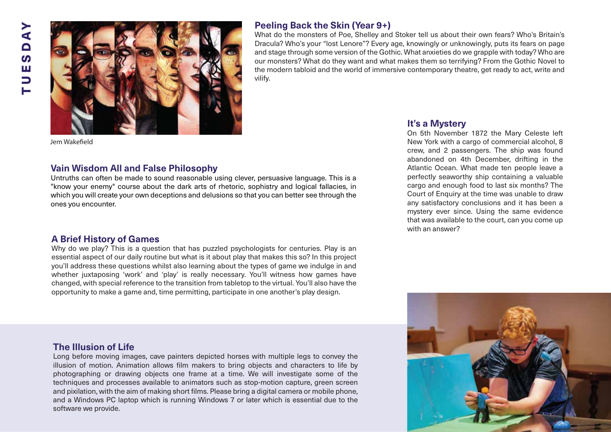

## **Peeling Back the Skin (Year 9+)**

What do the monsters of Poe, Shelley and Stoker tell us about their own fears? Who's Britain's Dracula? Who's your "lost Lenore"? Every age, knowingly or unknowingly, puts its fears on page and stage through some version of the Gothic. What anxieties do we grapple with today? Who are our monsters? What do they want and what makes them so terrifying? From the Gothic Novel to the modern tabloid and the world of immersive contemporary theatre, get ready to act, write and vilify.

Jem Wakefield

#### **Vain Wisdom All and False Philosophy**

Untruths can often be made to sound reasonable using clever, persuasive language. This is a "know your enemy" course about the dark arts of rhetoric, sophistry and logical fallacies, in which you will create your own deceptions and delusions so that you can better see through the ones you encounter.

#### **A Brief History of Games**

Why do we play? This is a question that has puzzled psychologists for centuries. Play is an essential aspect of our daily routine but what is it about play that makes this so? In this project you'll address these questions whilst also learning about the types of game we indulge in and whether juxtaposing 'work' and 'play' is really necessary. You'll witness how games have changed, with special reference to the transition from tabletop to the virtual. You'll also have the opportunity to make a game and, time permitting, participate in one another's play design.

## **It's a Mystery**

On 5th November 1872 the Mary Celeste left New York with a cargo of commercial alcohol, 8 crew, and 2 passengers. The ship was found abandoned on 4th December, drifting in the Atlantic Ocean. What made ten people leave a perfectly seaworthy ship containing a valuable cargo and enough food to last six months? The Court of Enquiry at the time was unable to draw any satisfactory conclusions and it has been a mystery ever since. Using the same evidence that was available to the court, can you come up with an answer?



#### **The Illusion of Life**

Long before moving images, cave painters depicted horses with multiple legs to convey the illusion of motion. Animation allows film makers to bring objects and characters to life by photographing or drawing objects one frame at a time. We will investigate some of the techniques and processes available to animators such as stop-motion capture, green screen and pixilation, with the aim of making short films. Please bring a digital camera or mobile phone, and a Windows PC laptop which is running Windows 7 or later which is essential due to the software we provide.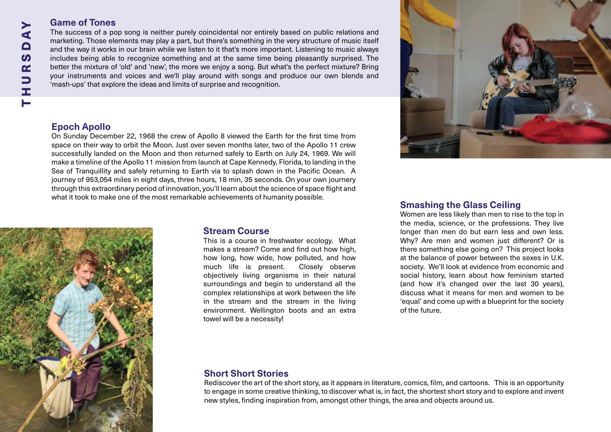## **Game of Tones**

The success of a pop song is neither purely coincidental nor entirely based on public relations and marketing. Those elements may play a part, but there's something in the very structure of music itself and the way it works in our brain while we listen to it that's more important. Listening to music always includes being able to recognize something and at the same time being pleasantly surprised. The better the mixture of 'old' and 'new', the more we enjoy a song. But what's the perfect mixture? Bring your instruments and voices and we'll play around with songs and produce our own blends and 'mash-ups' that explore the ideas and limits of surprise and recognition.

## **Epoch Apollo**

On Sunday December 22, 1968 the crew of Apollo 8 viewed the Earth for the first time from space on their way to orbit the Moon. Just over seven months later, two of the Apollo 11 crew successfully landed on the Moon and then returned safely to Earth on July 24, 1969. We will make a timeline of the Apollo 11 mission from launch at Cape Kennedy, Florida, to landing in the Sea of Tranquillity and safely returning to Earth via to splash down in the Pacific Ocean. A journey of 953,054 miles in eight days, three hours, 18 min, 35 seconds. On your own journery through this extraordinary period of innovation, you'll learn about the science of space flight and what it took to make one of the most remarkable achievements of humanity possible.



#### **Stream Course**

This is a course in freshwater ecology. What makes a stream? Come and find out how high, how long, how wide, how polluted, and how much life is present. Closely observe objectively living organisms in their natural surroundings and begin to understand all the complex relationships at work between the life in the stream and the stream in the living environment. Wellington boots and an extra towel will be a necessity!

## **Smashing the Glass Ceiling**

Women are less likely than men to rise to the top in the media, science, or the professions. They live longer than men do but earn less and own less. Why? Are men and women just different? Or is there something else going on? This project looks at the balance of power between the sexes in U.K. society. We'll look at evidence from economic and social history, learn about how feminism started (and how it's changed over the last 30 years), discuss what it means for men and women to be 'equal' and come up with a blueprint for the society of the future.

## **Short Short Stories**

Rediscover the art of the short story, as it appears in literature, comics, film, and cartoons. This is an opportunity to engage in some creative thinking, to discover what is, in fact, the shortest short story and to explore and invent new styles, finding inspiration from, amongst other things, the area and objects around us.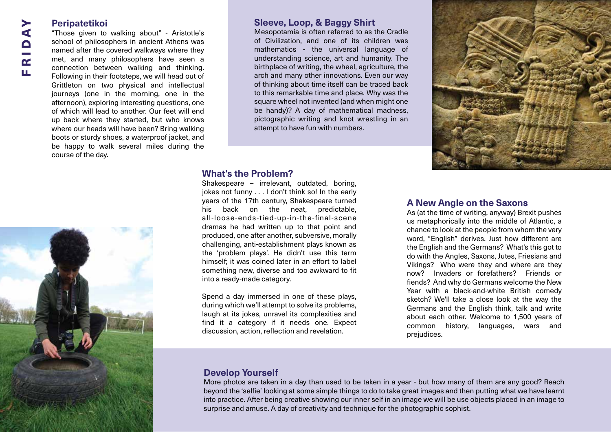## FRIDAY $\blacktriangleleft$ RID Щ

#### **Peripatetikoi**

"Those given to walking about" - Aristotle's school of philosophers in ancient Athens was named after the covered walkways where they met, and many philosophers have seen a connection between walking and thinking. Following in their footsteps, we will head out of Grittleton on two physical and intellectual journeys (one in the morning, one in the afternoon), exploring interesting questions, one of which will lead to another. Our feet will end up back where they started, but who knows where our heads will have been? Bring walking boots or sturdy shoes, a waterproof jacket, and be happy to walk several miles during the course of the day.



#### **Sleeve, Loop, & Baggy Shirt**

Mesopotamia is often referred to as the Cradle of Civilization, and one of its children was mathematics - the universal language of understanding science, art and humanity. The birthplace of writing, the wheel, agriculture, the arch and many other innovations. Even our way of thinking about time itself can be traced back to this remarkable time and place. Why was the square wheel not invented (and when might one be handy)? A day of mathematical madness, pictographic writing and knot wrestling in an attempt to have fun with numbers.

#### **What's the Problem?**

Shakespeare – irrelevant, outdated, boring, jokes not funny . . . I don't think so! In the early years of the 17th century, Shakespeare turned his back on the neat, predictable, all-loose-ends-tied-up-in-the-final-scene dramas he had written up to that point and produced, one after another, subversive, morally challenging, anti-establishment plays known as the 'problem plays'. He didn't use this term himself; it was coined later in an effort to label something new, diverse and too awkward to fit into a ready-made category.

Spend a day immersed in one of these plays, during which we'll attempt to solve its problems, laugh at its jokes, unravel its complexities and find it a category if it needs one. Expect discussion, action, reflection and revelation.

#### **A New Angle on the Saxons**

As (at the time of writing, anyway) Brexit pushes us metaphorically into the middle of Atlantic, a chance to look at the people from whom the very word, "English" derives. Just how different are the English and the Germans? What's this got to do with the Angles, Saxons, Jutes, Friesians and Vikings? Who were they and where are they now? Invaders or forefathers? Friends or fiends? And why do Germans welcome the New Year with a black-and-white British comedy sketch? We'll take a close look at the way the Germans and the English think, talk and write about each other. Welcome to 1,500 years of common history, languages, wars and prejudices.

## **Develop Yourself**

More photos are taken in a day than used to be taken in a year - but how many of them are any good? Reach beyond the 'selfie' looking at some simple things to do to take great images and then putting what we have learnt into practice. After being creative showing our inner self in an image we will be use objects placed in an image to surprise and amuse. A day of creativity and technique for the photographic sophist.

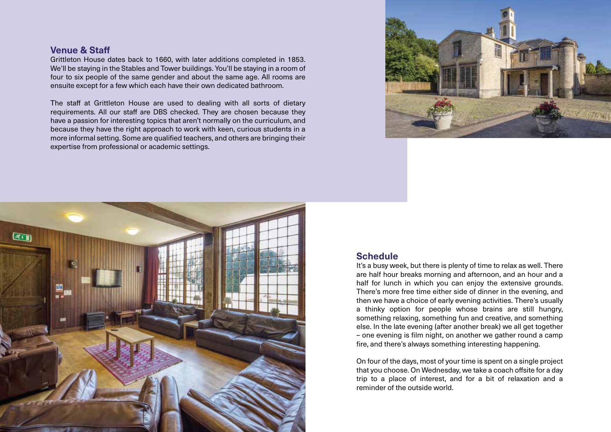#### **Venue & Sta**

Grittleton House dates back to 1660, with later additions completed in 1853. We'll be staying in the Stables and Tower buildings. You'll be staying in a room of four to six people of the same gender and about the same age. All rooms are ensuite except for a few which each have their own dedicated bathroom.

The staff at Grittleton House are used to dealing with all sorts of dietary requirements. All our staff are DBS checked. They are chosen because they have a passion for interesting topics that aren't normally on the curriculum, and because they have the right approach to work with keen, curious students in a more informal setting. Some are qualified teachers, and others are bringing their expertise from professional or academic settings.





#### **Schedule**

It's a busy week, but there is plenty of time to relax as well. There are half hour breaks morning and afternoon, and an hour and a half for lunch in which you can enjoy the extensive grounds. There's more free time either side of dinner in the evening, and then we have a choice of early evening activities. There's usually a thinky option for people whose brains are still hungry, something relaxing, something fun and creative, and something else. In the late evening (after another break) we all get together – one evening is film night, on another we gather round a camp fire, and there's always something interesting happening.

On four of the days, most of your time is spent on a single project that you choose. On Wednesday, we take a coach offsite for a day trip to a place of interest, and for a bit of relaxation and a reminder of the outside world.